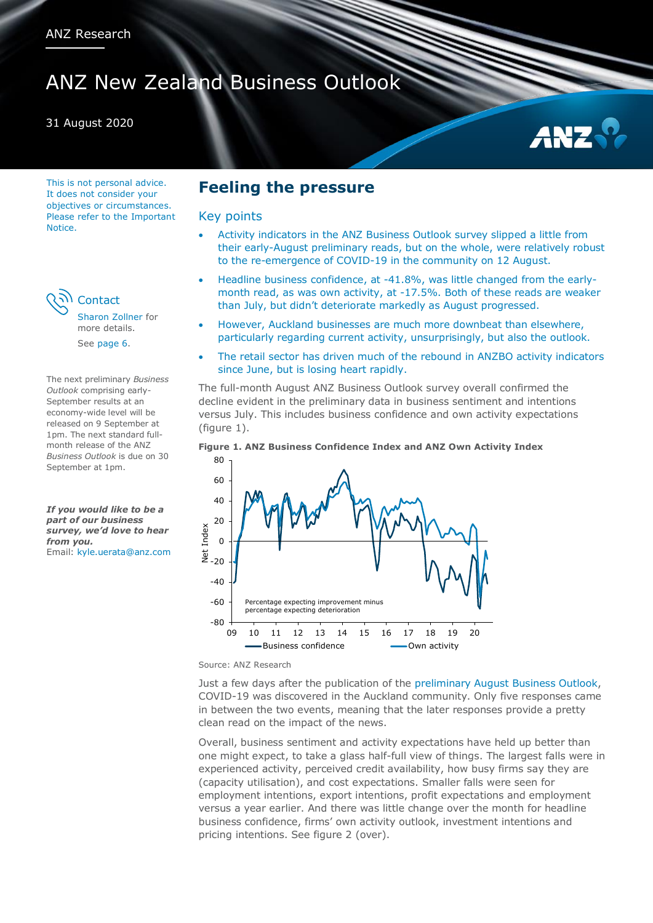# ANZ New Zealand Business Outlook

## 31 August 2020

This is not personal advice. It does not consider your objectives or circumstances. Please refer to the Important Notice.

**Contact** 

[Sharon Zollner](#page-5-0) for more details. See [page 6.](#page-5-1)

The next preliminary *Business Outlook* comprising early-September results at an economy-wide level will be released on 9 September at 1pm. The next standard fullmonth release of the ANZ *Business Outlook* is due on 30 September at 1pm.

*If you would like to be a part of our business survey, we'd love to hear from you.* Email: [kyle.uerata@anz.com](mailto:kyle.uerata@anz.com)

## **Feeling the pressure**

## Key points

- Activity indicators in the ANZ Business Outlook survey slipped a little from their early-August preliminary reads, but on the whole, were relatively robust to the re-emergence of COVID-19 in the community on 12 August.
- Headline business confidence, at -41.8%, was little changed from the earlymonth read, as was own activity, at -17.5%. Both of these reads are weaker than July, but didn't deteriorate markedly as August progressed.
- However, Auckland businesses are much more downbeat than elsewhere, particularly regarding current activity, unsurprisingly, but also the outlook.
- The retail sector has driven much of the rebound in ANZBO activity indicators since June, but is losing heart rapidly.

The full-month August ANZ Business Outlook survey overall confirmed the decline evident in the preliminary data in business sentiment and intentions versus July. This includes business confidence and own activity expectations (figure 1).

#### **Figure 1. ANZ Business Confidence Index and ANZ Own Activity Index**



Source: ANZ Research

Just a few days after the publication of the [preliminary August Business Outlook,](https://bit.ly/ANZ-BOPrelim-20200810-TM) COVID-19 was discovered in the Auckland community. Only five responses came in between the two events, meaning that the later responses provide a pretty clean read on the impact of the news.

Overall, business sentiment and activity expectations have held up better than one might expect, to take a glass half-full view of things. The largest falls were in experienced activity, perceived credit availability, how busy firms say they are (capacity utilisation), and cost expectations. Smaller falls were seen for employment intentions, export intentions, profit expectations and employment versus a year earlier. And there was little change over the month for headline business confidence, firms' own activity outlook, investment intentions and pricing intentions. See figure 2 (over).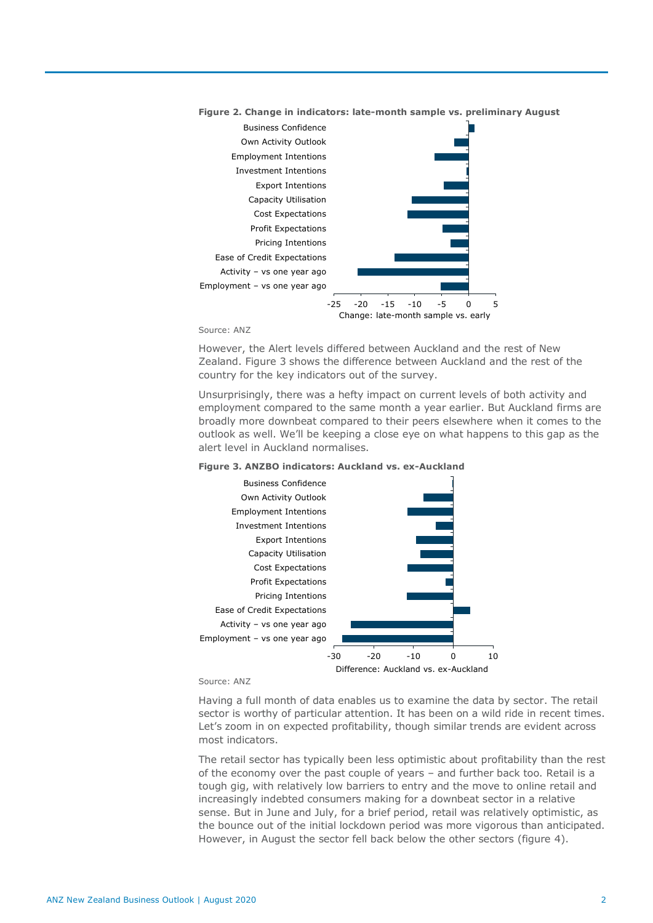



#### Source: ANZ

However, the Alert levels differed between Auckland and the rest of New Zealand. Figure 3 shows the difference between Auckland and the rest of the country for the key indicators out of the survey.

Unsurprisingly, there was a hefty impact on current levels of both activity and employment compared to the same month a year earlier. But Auckland firms are broadly more downbeat compared to their peers elsewhere when it comes to the outlook as well. We'll be keeping a close eye on what happens to this gap as the alert level in Auckland normalises.

#### **Figure 3. ANZBO indicators: Auckland vs. ex-Auckland**



#### Source: ANZ

Having a full month of data enables us to examine the data by sector. The retail sector is worthy of particular attention. It has been on a wild ride in recent times. Let's zoom in on expected profitability, though similar trends are evident across most indicators.

The retail sector has typically been less optimistic about profitability than the rest of the economy over the past couple of years – and further back too. Retail is a tough gig, with relatively low barriers to entry and the move to online retail and increasingly indebted consumers making for a downbeat sector in a relative sense. But in June and July, for a brief period, retail was relatively optimistic, as the bounce out of the initial lockdown period was more vigorous than anticipated. However, in August the sector fell back below the other sectors (figure 4).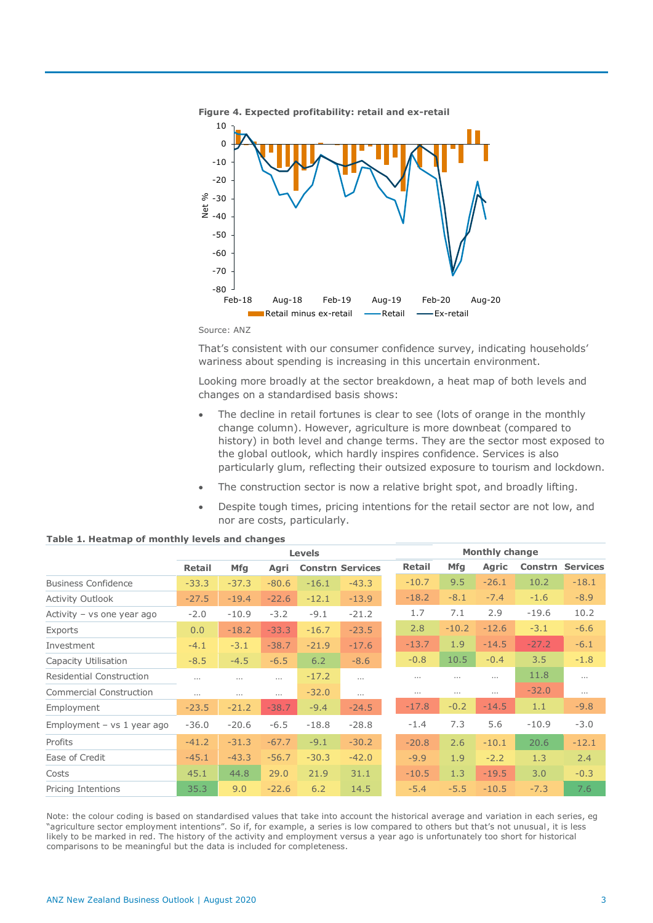



That's consistent with our consumer confidence survey, indicating households' wariness about spending is increasing in this uncertain environment.

Looking more broadly at the sector breakdown, a heat map of both levels and changes on a standardised basis shows:

- The decline in retail fortunes is clear to see (lots of orange in the monthly change column). However, agriculture is more downbeat (compared to history) in both level and change terms. They are the sector most exposed to the global outlook, which hardly inspires confidence. Services is also particularly glum, reflecting their outsized exposure to tourism and lockdown.
- The construction sector is now a relative bright spot, and broadly lifting.
- Despite tough times, pricing intentions for the retail sector are not low, and nor are costs, particularly.

|                                 | <b>Levels</b> |            |          |         | <b>Monthly change</b>   |               |            |              |         |                 |
|---------------------------------|---------------|------------|----------|---------|-------------------------|---------------|------------|--------------|---------|-----------------|
|                                 | <b>Retail</b> | <b>Mfg</b> | Agri     |         | <b>Constrn Services</b> | <b>Retail</b> | <b>Mfg</b> | <b>Agric</b> | Constrn | <b>Services</b> |
| <b>Business Confidence</b>      | $-33.3$       | $-37.3$    | $-80.6$  | $-16.1$ | $-43.3$                 | $-10.7$       | 9.5        | $-26.1$      | 10.2    | $-18.1$         |
| <b>Activity Outlook</b>         | $-27.5$       | $-19.4$    | $-22.6$  | $-12.1$ | $-13.9$                 | $-18.2$       | $-8.1$     | $-7.4$       | $-1.6$  | $-8.9$          |
| Activity - vs one year ago      | $-2.0$        | $-10.9$    | $-3.2$   | $-9.1$  | $-21.2$                 | 1.7           | 7.1        | 2.9          | $-19.6$ | 10.2            |
| Exports                         | 0.0           | $-18.2$    | $-33.3$  | $-16.7$ | $-23.5$                 | 2.8           | $-10.2$    | $-12.6$      | $-3.1$  | $-6.6$          |
| Investment                      | $-4.1$        | $-3.1$     | $-38.7$  | $-21.9$ | $-17.6$                 | $-13.7$       | 1.9        | $-14.5$      | $-27.2$ | $-6.1$          |
| Capacity Utilisation            | $-8.5$        | $-4.5$     | $-6.5$   | 6.2     | $-8.6$                  | $-0.8$        | 10.5       | $-0.4$       | 3.5     | $-1.8$          |
| <b>Residential Construction</b> | $\cdots$      | $\cdots$   | $\cdots$ | $-17.2$ | $\cdots$                | $\cdots$      | $\cdots$   | $\cdots$     | 11.8    | $\cdots$        |
| <b>Commercial Construction</b>  | $\cdots$      | $\cdots$   | $\cdots$ | $-32.0$ | $\cdots$                | $\cdots$      | $\cdots$   | $\cdots$     | $-32.0$ | $\cdots$        |
| Employment                      | $-23.5$       | $-21.2$    | $-38.7$  | $-9.4$  | $-24.5$                 | $-17.8$       | $-0.2$     | $-14.5$      | 1.1     | $-9.8$          |
| Employment $-$ vs 1 year ago    | $-36.0$       | $-20.6$    | $-6.5$   | $-18.8$ | $-28.8$                 | $-1.4$        | 7.3        | 5.6          | $-10.9$ | $-3.0$          |
| Profits                         | $-41.2$       | $-31.3$    | $-67.7$  | $-9.1$  | $-30.2$                 | $-20.8$       | 2.6        | $-10.1$      | 20.6    | $-12.1$         |
| Ease of Credit                  | $-45.1$       | $-43.3$    | $-56.7$  | $-30.3$ | $-42.0$                 | $-9.9$        | 1.9        | $-2.2$       | 1.3     | 2.4             |
| Costs                           | 45.1          | 44.8       | 29.0     | 21.9    | 31.1                    | $-10.5$       | 1.3        | $-19.5$      | 3.0     | $-0.3$          |
| Pricing Intentions              | 35.3          | 9.0        | $-22.6$  | 6.2     | 14.5                    | $-5.4$        | $-5.5$     | $-10.5$      | $-7.3$  | 7.6             |

#### **Table 1. Heatmap of monthly levels and changes**

Note: the colour coding is based on standardised values that take into account the historical average and variation in each series, eg "agriculture sector employment intentions". So if, for example, a series is low compared to others but that's not unusual, it is less likely to be marked in red. The history of the activity and employment versus a year ago is unfortunately too short for historical comparisons to be meaningful but the data is included for completeness.

Source: ANZ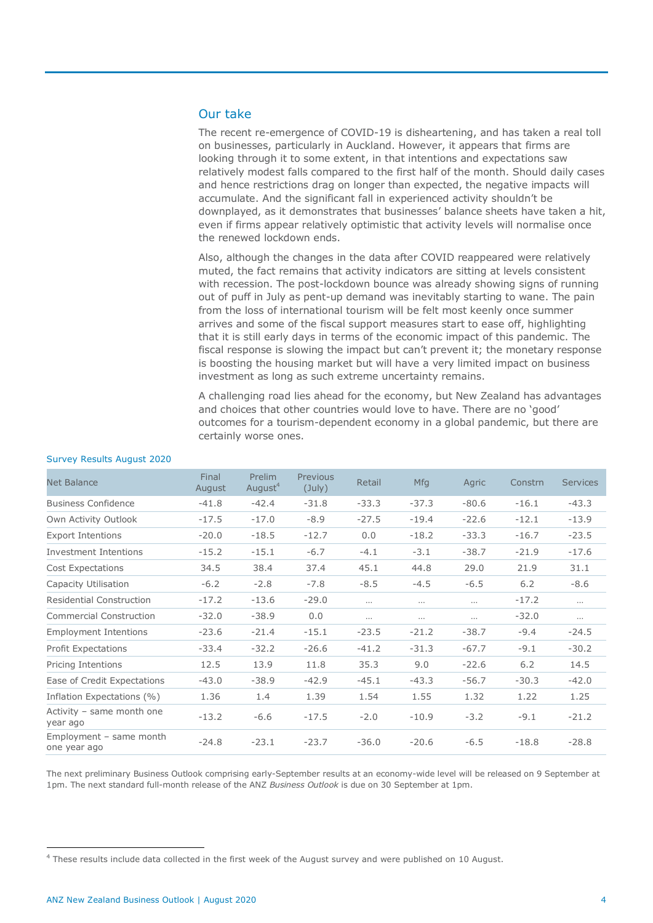## Our take

The recent re-emergence of COVID-19 is disheartening, and has taken a real toll on businesses, particularly in Auckland. However, it appears that firms are looking through it to some extent, in that intentions and expectations saw relatively modest falls compared to the first half of the month. Should daily cases and hence restrictions drag on longer than expected, the negative impacts will accumulate. And the significant fall in experienced activity shouldn't be downplayed, as it demonstrates that businesses' balance sheets have taken a hit, even if firms appear relatively optimistic that activity levels will normalise once the renewed lockdown ends.

Also, although the changes in the data after COVID reappeared were relatively muted, the fact remains that activity indicators are sitting at levels consistent with recession. The post-lockdown bounce was already showing signs of running out of puff in July as pent-up demand was inevitably starting to wane. The pain from the loss of international tourism will be felt most keenly once summer arrives and some of the fiscal support measures start to ease off, highlighting that it is still early days in terms of the economic impact of this pandemic. The fiscal response is slowing the impact but can't prevent it; the monetary response is boosting the housing market but will have a very limited impact on business investment as long as such extreme uncertainty remains.

A challenging road lies ahead for the economy, but New Zealand has advantages and choices that other countries would love to have. There are no 'good' outcomes for a tourism-dependent economy in a global pandemic, but there are certainly worse ones.

| <b>Net Balance</b>                      | Final<br>August | Prelim<br>August <sup>4</sup> | Previous<br>$(\text{July})$ | Retail   | <b>Mfg</b> | Agric    | Constrn | <b>Services</b> |
|-----------------------------------------|-----------------|-------------------------------|-----------------------------|----------|------------|----------|---------|-----------------|
| <b>Business Confidence</b>              | $-41.8$         | $-42.4$                       | $-31.8$                     | $-33.3$  | $-37.3$    | $-80.6$  | $-16.1$ | $-43.3$         |
| Own Activity Outlook                    | $-17.5$         | $-17.0$                       | $-8.9$                      | $-27.5$  | $-19.4$    | $-22.6$  | $-12.1$ | $-13.9$         |
| <b>Export Intentions</b>                | $-20.0$         | $-18.5$                       | $-12.7$                     | 0.0      | $-18.2$    | $-33.3$  | $-16.7$ | $-23.5$         |
| Investment Intentions                   | $-15.2$         | $-15.1$                       | $-6.7$                      | $-4.1$   | $-3.1$     | $-38.7$  | $-21.9$ | $-17.6$         |
| <b>Cost Expectations</b>                | 34.5            | 38.4                          | 37.4                        | 45.1     | 44.8       | 29.0     | 21.9    | 31.1            |
| Capacity Utilisation                    | $-6.2$          | $-2.8$                        | $-7.8$                      | $-8.5$   | $-4.5$     | $-6.5$   | 6.2     | $-8.6$          |
| <b>Residential Construction</b>         | $-17.2$         | $-13.6$                       | $-29.0$                     | $\cdots$ | $\cdots$   | $\cdots$ | $-17.2$ | $\cdots$        |
| <b>Commercial Construction</b>          | $-32.0$         | $-38.9$                       | 0.0                         | $\cdots$ | $\cdots$   | $\cdots$ | $-32.0$ | $\cdots$        |
| <b>Employment Intentions</b>            | $-23.6$         | $-21.4$                       | $-15.1$                     | $-23.5$  | $-21.2$    | $-38.7$  | $-9.4$  | $-24.5$         |
| <b>Profit Expectations</b>              | $-33.4$         | $-32.2$                       | $-26.6$                     | $-41.2$  | $-31.3$    | $-67.7$  | $-9.1$  | $-30.2$         |
| Pricing Intentions                      | 12.5            | 13.9                          | 11.8                        | 35.3     | 9.0        | $-22.6$  | 6.2     | 14.5            |
| Ease of Credit Expectations             | $-43.0$         | $-38.9$                       | $-42.9$                     | $-45.1$  | $-43.3$    | $-56.7$  | $-30.3$ | $-42.0$         |
| Inflation Expectations (%)              | 1.36            | 1.4                           | 1.39                        | 1.54     | 1.55       | 1.32     | 1.22    | 1.25            |
| Activity - same month one<br>year ago   | $-13.2$         | $-6.6$                        | $-17.5$                     | $-2.0$   | $-10.9$    | $-3.2$   | $-9.1$  | $-21.2$         |
| Employment - same month<br>one year ago | $-24.8$         | $-23.1$                       | $-23.7$                     | $-36.0$  | $-20.6$    | $-6.5$   | $-18.8$ | $-28.8$         |

#### Survey Results August 2020

The next preliminary Business Outlook comprising early-September results at an economy-wide level will be released on 9 September at 1pm. The next standard full-month release of the ANZ *Business Outlook* is due on 30 September at 1pm.

 $\overline{a}$ 

 $^4$  These results include data collected in the first week of the August survey and were published on 10 August.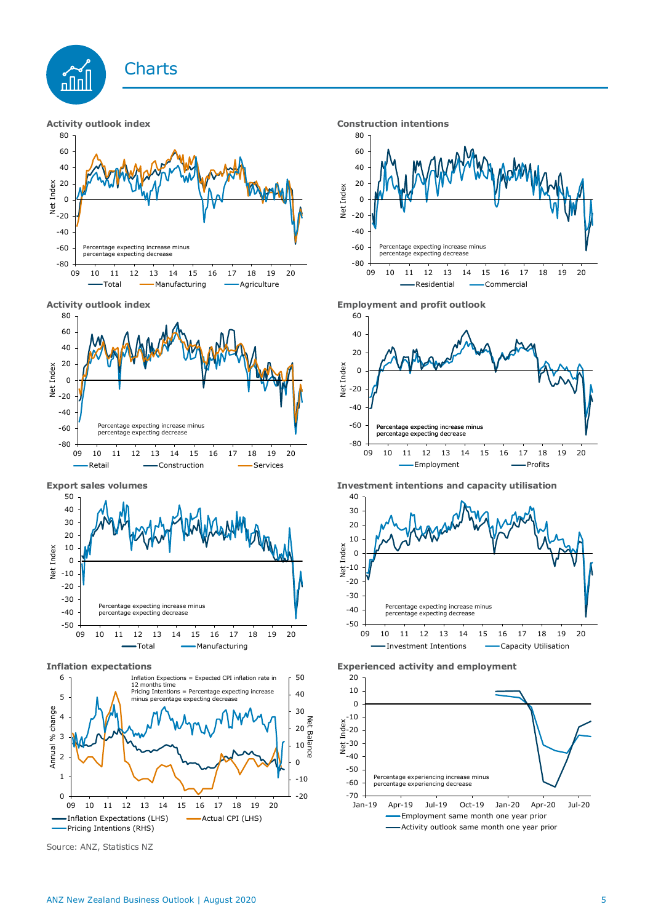











Source: ANZ, Statistics NZ



**Activity outlook index Employment and profit outlook**



**Export sales volumes Investment intentions and capacity utilisation**



**Inflation expectations Experienced activity and employment**

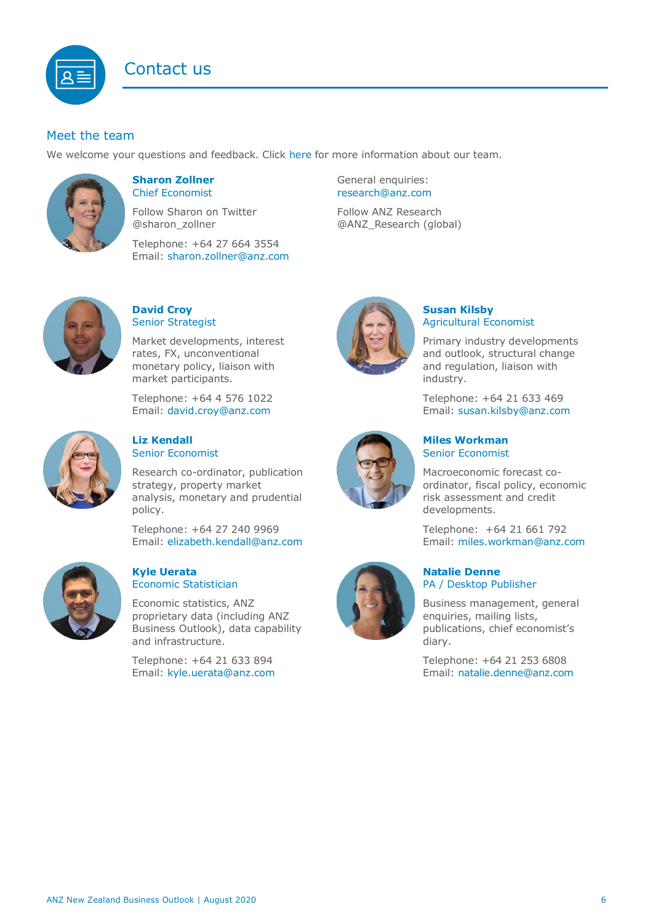# Contact us

## <span id="page-5-1"></span>Meet the team

We welcome your questions and feedback. Click [here](https://www.anz.co.nz/about-us/economic-markets-research/economics-research-team/) for more information about our team.



### <span id="page-5-0"></span>**Sharon Zollner** Chief Economist

Follow Sharon on Twitter @sharon\_zollner

Telephone: +64 27 664 3554 Email: [sharon.zollner@anz.com](mailto:sharon.zollner@anz.com)

## **David Croy** Senior Strategist

Market developments, interest rates, FX, unconventional monetary policy, liaison with market participants.

Telephone: +64 4 576 1022 Email: [david.croy@anz.com](mailto:david.croy@anz.com)



## **Liz Kendall**  Senior Economist

Research co-ordinator, publication strategy, property market analysis, monetary and prudential policy.

Telephone: +64 27 240 9969 Email: [elizabeth.kendall@anz.com](mailto:Elizabeth.Kendall@anz.com)



#### **Kyle Uerata** Economic Statistician

Economic statistics, ANZ proprietary data (including ANZ Business Outlook), data capability and infrastructure.

Telephone: +64 21 633 894 Email: [kyle.uerata@anz.com](mailto:Kyle.Uerata@anz.com)

General enquiries: [research@anz.com](mailto:research@anz.com) Follow ANZ Research @ANZ\_Research (global)

## **Susan Kilsby** Agricultural Economist

Primary industry developments and outlook, structural change and regulation, liaison with industry.

Telephone: +64 21 633 469 Email: [susan.kilsby@anz.com](mailto:susan.kilsby@anz.com)



**Miles Workman**  Senior Economist

Macroeconomic forecast coordinator, fiscal policy, economic risk assessment and credit developments.

Telephone: +64 21 661 792 Email: [miles.workman@anz.com](mailto:miles.workman@anz.com)

### **Natalie Denne** PA / Desktop Publisher

Business management, general enquiries, mailing lists, publications, chief economist's diary.

Telephone: +64 21 253 6808 Email: [natalie.denne@anz.com](mailto:natalie.denne@anz.com)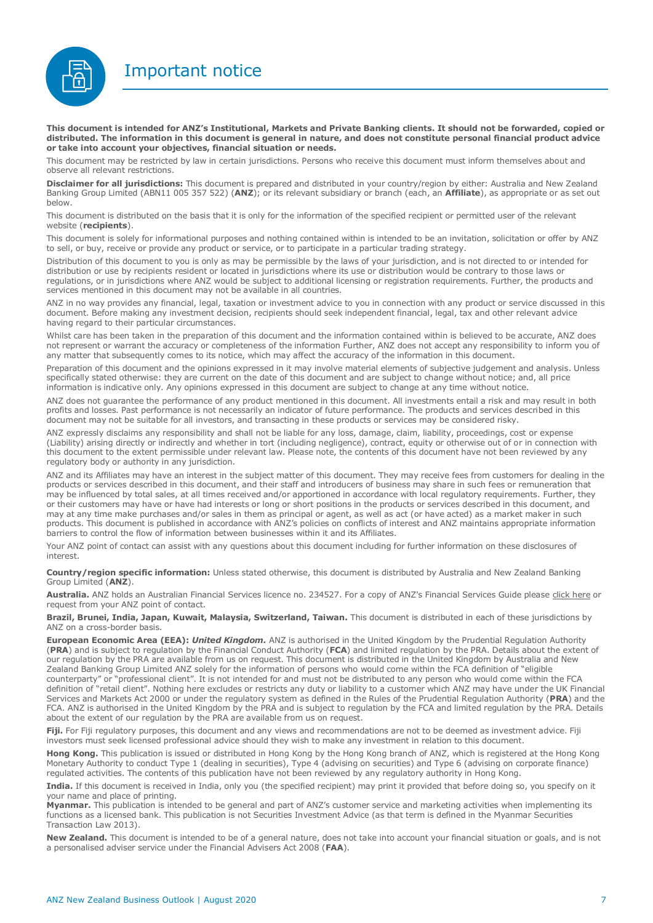Important notice



**This document is intended for ANZ's Institutional, Markets and Private Banking clients. It should not be forwarded, copied or distributed. The information in this document is general in nature, and does not constitute personal financial product advice or take into account your objectives, financial situation or needs.** 

This document may be restricted by law in certain jurisdictions. Persons who receive this document must inform themselves about and observe all relevant restrictions.

**Disclaimer for all jurisdictions:** This document is prepared and distributed in your country/region by either: Australia and New Zealand Banking Group Limited (ABN11 005 357 522) (**ANZ**); or its relevant subsidiary or branch (each, an **Affiliate**), as appropriate or as set out below.

This document is distributed on the basis that it is only for the information of the specified recipient or permitted user of the relevant website (**recipients**).

This document is solely for informational purposes and nothing contained within is intended to be an invitation, solicitation or offer by ANZ to sell, or buy, receive or provide any product or service, or to participate in a particular trading strategy.

Distribution of this document to you is only as may be permissible by the laws of your jurisdiction, and is not directed to or intended for distribution or use by recipients resident or located in jurisdictions where its use or distribution would be contrary to those laws or regulations, or in jurisdictions where ANZ would be subject to additional licensing or registration requirements. Further, the products and services mentioned in this document may not be available in all countries.

ANZ in no way provides any financial, legal, taxation or investment advice to you in connection with any product or service discussed in this document. Before making any investment decision, recipients should seek independent financial, legal, tax and other relevant advice having regard to their particular circumstances.

Whilst care has been taken in the preparation of this document and the information contained within is believed to be accurate, ANZ does not represent or warrant the accuracy or completeness of the information Further, ANZ does not accept any responsibility to inform you of any matter that subsequently comes to its notice, which may affect the accuracy of the information in this document.

Preparation of this document and the opinions expressed in it may involve material elements of subjective judgement and analysis. Unless specifically stated otherwise: they are current on the date of this document and are subject to change without notice; and, all price information is indicative only. Any opinions expressed in this document are subject to change at any time without notice.

ANZ does not guarantee the performance of any product mentioned in this document. All investments entail a risk and may result in both profits and losses. Past performance is not necessarily an indicator of future performance. The products and services described in this document may not be suitable for all investors, and transacting in these products or services may be considered risky.

ANZ expressly disclaims any responsibility and shall not be liable for any loss, damage, claim, liability, proceedings, cost or expense (Liability) arising directly or indirectly and whether in tort (including negligence), contract, equity or otherwise out of or in connection with this document to the extent permissible under relevant law. Please note, the contents of this document have not been reviewed by any regulatory body or authority in any jurisdiction.

ANZ and its Affiliates may have an interest in the subject matter of this document. They may receive fees from customers for dealing in the products or services described in this document, and their staff and introducers of business may share in such fees or remuneration that may be influenced by total sales, at all times received and/or apportioned in accordance with local regulatory requirements. Further, they or their customers may have or have had interests or long or short positions in the products or services described in this document, and may at any time make purchases and/or sales in them as principal or agent, as well as act (or have acted) as a market maker in such products. This document is published in accordance with ANZ's policies on conflicts of interest and ANZ maintains appropriate information barriers to control the flow of information between businesses within it and its Affiliates.

Your ANZ point of contact can assist with any questions about this document including for further information on these disclosures of interest.

**Country/region specific information:** Unless stated otherwise, this document is distributed by Australia and New Zealand Banking Group Limited (**ANZ**).

**Australia.** ANZ holds an Australian Financial Services licence no. 234527. For a copy of ANZ's Financial Services Guide please [click here](http://www.anz.com/documents/AU/aboutANZ/FinancialServicesGuide.pdf) or request from your ANZ point of contact.

**Brazil, Brunei, India, Japan, Kuwait, Malaysia, Switzerland, Taiwan.** This document is distributed in each of these jurisdictions by ANZ on a cross-border basis.

**European Economic Area (EEA):** *United Kingdom.* ANZ is authorised in the United Kingdom by the Prudential Regulation Authority (**PRA**) and is subject to regulation by the Financial Conduct Authority (**FCA**) and limited regulation by the PRA. Details about the extent of our regulation by the PRA are available from us on request. This document is distributed in the United Kingdom by Australia and New Zealand Banking Group Limited ANZ solely for the information of persons who would come within the FCA definition of "eligible counterparty" or "professional client". It is not intended for and must not be distributed to any person who would come within the FCA definition of "retail client". Nothing here excludes or restricts any duty or liability to a customer which ANZ may have under the UK Financial Services and Markets Act 2000 or under the regulatory system as defined in the Rules of the Prudential Regulation Authority (**PRA**) and the FCA. ANZ is authorised in the United Kingdom by the PRA and is subject to regulation by the FCA and limited regulation by the PRA. Details about the extent of our regulation by the PRA are available from us on request.

Fiji. For Fiji regulatory purposes, this document and any views and recommendations are not to be deemed as investment advice. Fiji investors must seek licensed professional advice should they wish to make any investment in relation to this document.

**Hong Kong.** This publication is issued or distributed in Hong Kong by the Hong Kong branch of ANZ, which is registered at the Hong Kong Monetary Authority to conduct Type 1 (dealing in securities), Type 4 (advising on securities) and Type 6 (advising on corporate finance) regulated activities. The contents of this publication have not been reviewed by any regulatory authority in Hong Kong.

**India.** If this document is received in India, only you (the specified recipient) may print it provided that before doing so, you specify on it your name and place of printing.

**Myanmar.** This publication is intended to be general and part of ANZ's customer service and marketing activities when implementing its functions as a licensed bank. This publication is not Securities Investment Advice (as that term is defined in the Myanmar Securities Transaction Law 2013).

**New Zealand.** This document is intended to be of a general nature, does not take into account your financial situation or goals, and is not a personalised adviser service under the Financial Advisers Act 2008 (**FAA**).